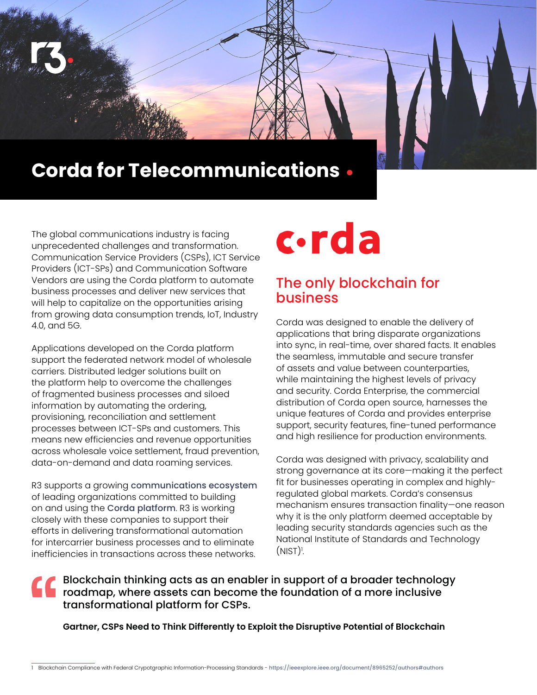

The global communications industry is facing unprecedented challenges and transformation. Communication Service Providers (CSPs), ICT Service Providers (ICT-SPs) and Communication Software Vendors are using the Corda platform to automate business processes and deliver new services that will help to capitalize on the opportunities arising from growing data consumption trends, IoT, Industry 4.0, and 5G.

Applications developed on the Corda platform support the federated network model of wholesale carriers. Distributed ledger solutions built on the platform help to overcome the challenges of fragmented business processes and siloed information by automating the ordering, provisioning, reconciliation and settlement processes between ICT-SPs and customers. This means new efficiencies and revenue opportunities across wholesale voice settlement, fraud prevention, data-on-demand and data roaming services.

R3 supports a growing [communications ecosystem](https://www.r3.com/customers/telecommunications/) of leading organizations committed to building on and using the [Corda platform](https://www.r3.com/corda-platform/). R3 is working closely with these companies to support their efforts in delivering transformational automation for intercarrier business processes and to eliminate inefficiencies in transactions across these networks.

# c·rda

### The only blockchain for **business**

Corda was designed to enable the delivery of applications that bring disparate organizations into sync, in real-time, over shared facts. It enables the seamless, immutable and secure transfer of assets and value between counterparties, while maintaining the highest levels of privacy and security. Corda Enterprise, the commercial distribution of Corda open source, harnesses the unique features of Corda and provides enterprise support, security features, fine-tuned performance and high resilience for production environments.

Corda was designed with privacy, scalability and strong governance at its core—making it the perfect fit for businesses operating in complex and highlyregulated global markets. Corda's consensus mechanism ensures transaction finality—one reason why it is the only platform deemed acceptable by leading security standards agencies such as the National Institute of Standards and Technology  $(NIST)!$ . .

Blockchain thinking acts as an enabler in support of a broader technology roadmap, where assets can become the foundation of a more inclusive transformational platform for CSPs.

**Gartner, CSPs Need to Think Differently to Exploit the Disruptive Potential of Blockchain**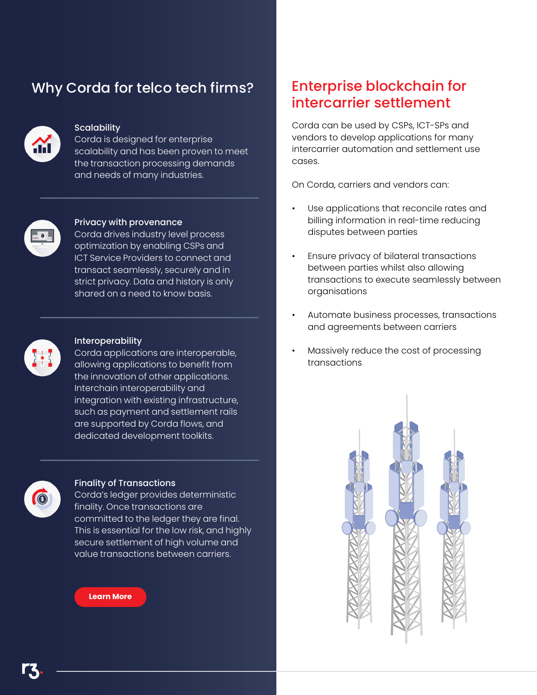## Why Corda for telco tech firms? Enterprise blockchain for



#### **Scalability**

Corda is designed for enterprise scalability and has been proven to meet the transaction processing demands and needs of many industries.



#### Privacy with provenance

Corda drives industry level process optimization by enabling CSPs and ICT Service Providers to connect and transact seamlessly, securely and in strict privacy. Data and history is only shared on a need to know basis.



#### Interoperability

Corda applications are interoperable, allowing applications to benefit from the innovation of other applications. Interchain interoperability and integration with existing infrastructure, such as payment and settlement rails are supported by Corda flows, and dedicated development toolkits.



#### Finality of Transactions

Corda's ledger provides deterministic finality. Once transactions are committed to the ledger they are final. This is essential for the low risk, and highly secure settlement of high volume and value transactions between carriers.



## intercarrier settlement

Corda can be used by CSPs, ICT-SPs and vendors to develop applications for many intercarrier automation and settlement use cases.

On Corda, carriers and vendors can:

- Use applications that reconcile rates and billing information in real-time reducing disputes between parties
- Ensure privacy of bilateral transactions between parties whilst also allowing transactions to execute seamlessly between organisations
- Automate business processes, transactions and agreements between carriers
- Massively reduce the cost of processing transactions



Telecommunications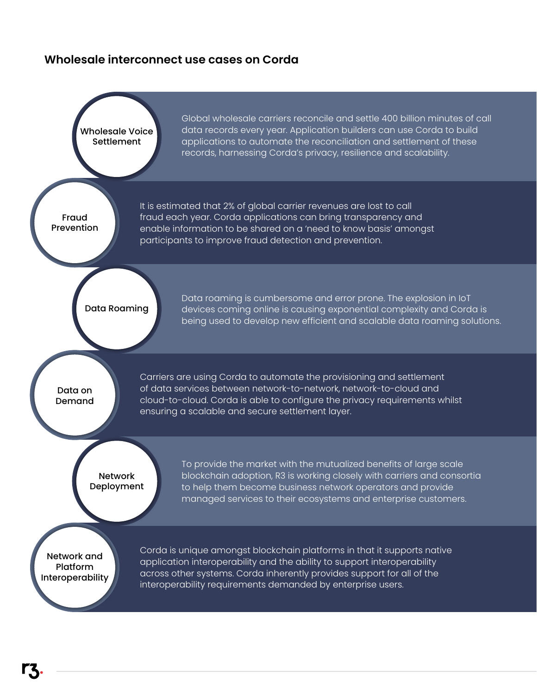#### **Wholesale interconnect use cases on Corda**